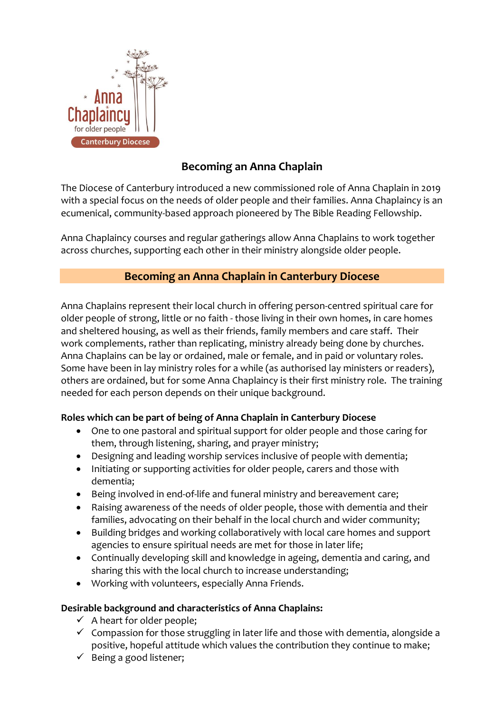

## **Becoming an Anna Chaplain**

The Diocese of Canterbury introduced a new commissioned role of Anna Chaplain in 2019 with a special focus on the needs of older people and their families. Anna Chaplaincy is an ecumenical, community-based approach pioneered by The Bible Reading Fellowship.

Anna Chaplaincy courses and regular gatherings allow Anna Chaplains to work together across churches, supporting each other in their ministry alongside older people.

# **Becoming an Anna Chaplain in Canterbury Diocese**

Anna Chaplains represent their local church in offering person-centred spiritual care for older people of strong, little or no faith - those living in their own homes, in care homes and sheltered housing, as well as their friends, family members and care staff. Their work complements, rather than replicating, ministry already being done by churches. Anna Chaplains can be lay or ordained, male or female, and in paid or voluntary roles. Some have been in lay ministry roles for a while (as authorised lay ministers or readers), others are ordained, but for some Anna Chaplaincy is their first ministry role. The training needed for each person depends on their unique background.

### **Roles which can be part of being of Anna Chaplain in Canterbury Diocese**

- One to one pastoral and spiritual support for older people and those caring for them, through listening, sharing, and prayer ministry;
- Designing and leading worship services inclusive of people with dementia;
- Initiating or supporting activities for older people, carers and those with dementia;
- Being involved in end-of-life and funeral ministry and bereavement care;
- Raising awareness of the needs of older people, those with dementia and their families, advocating on their behalf in the local church and wider community;
- Building bridges and working collaboratively with local care homes and support agencies to ensure spiritual needs are met for those in later life;
- Continually developing skill and knowledge in ageing, dementia and caring, and sharing this with the local church to increase understanding;
- Working with volunteers, especially Anna Friends.

## **Desirable background and characteristics of Anna Chaplains:**

- $\checkmark$  A heart for older people;
- $\checkmark$  Compassion for those struggling in later life and those with dementia, alongside a positive, hopeful attitude which values the contribution they continue to make;
- $\checkmark$  Being a good listener;